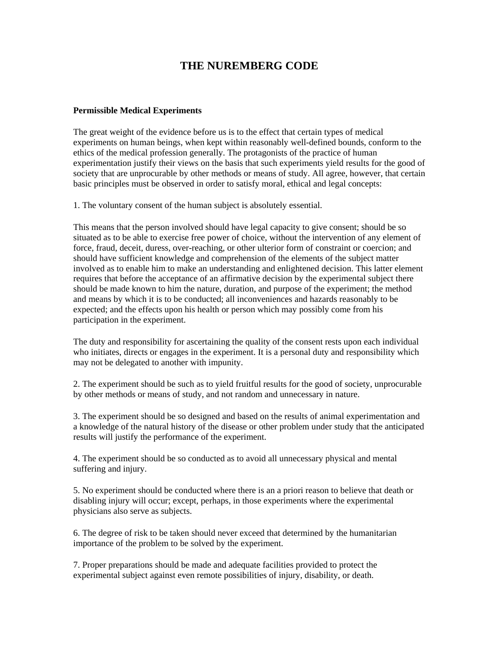## **THE NUREMBERG CODE**

## **Permissible Medical Experiments**

The great weight of the evidence before us is to the effect that certain types of medical experiments on human beings, when kept within reasonably well-defined bounds, conform to the ethics of the medical profession generally. The protagonists of the practice of human experimentation justify their views on the basis that such experiments yield results for the good of society that are unprocurable by other methods or means of study. All agree, however, that certain basic principles must be observed in order to satisfy moral, ethical and legal concepts:

1. The voluntary consent of the human subject is absolutely essential.

This means that the person involved should have legal capacity to give consent; should be so situated as to be able to exercise free power of choice, without the intervention of any element of force, fraud, deceit, duress, over-reaching, or other ulterior form of constraint or coercion; and should have sufficient knowledge and comprehension of the elements of the subject matter involved as to enable him to make an understanding and enlightened decision. This latter element requires that before the acceptance of an affirmative decision by the experimental subject there should be made known to him the nature, duration, and purpose of the experiment; the method and means by which it is to be conducted; all inconveniences and hazards reasonably to be expected; and the effects upon his health or person which may possibly come from his participation in the experiment.

The duty and responsibility for ascertaining the quality of the consent rests upon each individual who initiates, directs or engages in the experiment. It is a personal duty and responsibility which may not be delegated to another with impunity.

2. The experiment should be such as to yield fruitful results for the good of society, unprocurable by other methods or means of study, and not random and unnecessary in nature.

3. The experiment should be so designed and based on the results of animal experimentation and a knowledge of the natural history of the disease or other problem under study that the anticipated results will justify the performance of the experiment.

4. The experiment should be so conducted as to avoid all unnecessary physical and mental suffering and injury.

5. No experiment should be conducted where there is an a priori reason to believe that death or disabling injury will occur; except, perhaps, in those experiments where the experimental physicians also serve as subjects.

6. The degree of risk to be taken should never exceed that determined by the humanitarian importance of the problem to be solved by the experiment.

7. Proper preparations should be made and adequate facilities provided to protect the experimental subject against even remote possibilities of injury, disability, or death.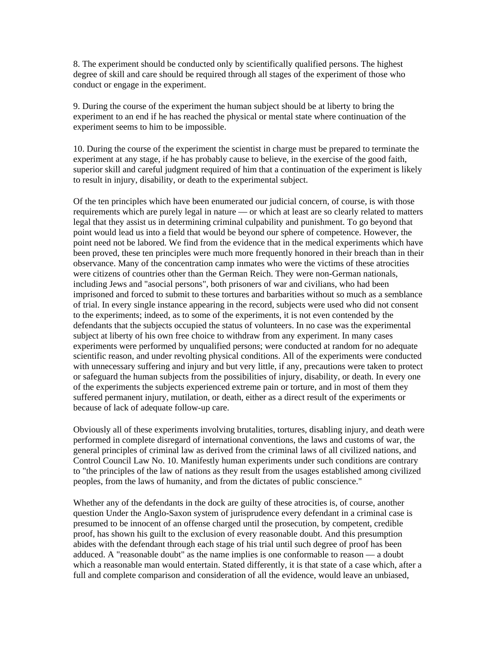8. The experiment should be conducted only by scientifically qualified persons. The highest degree of skill and care should be required through all stages of the experiment of those who conduct or engage in the experiment.

9. During the course of the experiment the human subject should be at liberty to bring the experiment to an end if he has reached the physical or mental state where continuation of the experiment seems to him to be impossible.

10. During the course of the experiment the scientist in charge must be prepared to terminate the experiment at any stage, if he has probably cause to believe, in the exercise of the good faith, superior skill and careful judgment required of him that a continuation of the experiment is likely to result in injury, disability, or death to the experimental subject.

Of the ten principles which have been enumerated our judicial concern, of course, is with those requirements which are purely legal in nature — or which at least are so clearly related to matters legal that they assist us in determining criminal culpability and punishment. To go beyond that point would lead us into a field that would be beyond our sphere of competence. However, the point need not be labored. We find from the evidence that in the medical experiments which have been proved, these ten principles were much more frequently honored in their breach than in their observance. Many of the concentration camp inmates who were the victims of these atrocities were citizens of countries other than the German Reich. They were non-German nationals, including Jews and "asocial persons", both prisoners of war and civilians, who had been imprisoned and forced to submit to these tortures and barbarities without so much as a semblance of trial. In every single instance appearing in the record, subjects were used who did not consent to the experiments; indeed, as to some of the experiments, it is not even contended by the defendants that the subjects occupied the status of volunteers. In no case was the experimental subject at liberty of his own free choice to withdraw from any experiment. In many cases experiments were performed by unqualified persons; were conducted at random for no adequate scientific reason, and under revolting physical conditions. All of the experiments were conducted with unnecessary suffering and injury and but very little, if any, precautions were taken to protect or safeguard the human subjects from the possibilities of injury, disability, or death. In every one of the experiments the subjects experienced extreme pain or torture, and in most of them they suffered permanent injury, mutilation, or death, either as a direct result of the experiments or because of lack of adequate follow-up care.

Obviously all of these experiments involving brutalities, tortures, disabling injury, and death were performed in complete disregard of international conventions, the laws and customs of war, the general principles of criminal law as derived from the criminal laws of all civilized nations, and Control Council Law No. 10. Manifestly human experiments under such conditions are contrary to "the principles of the law of nations as they result from the usages established among civilized peoples, from the laws of humanity, and from the dictates of public conscience."

Whether any of the defendants in the dock are guilty of these atrocities is, of course, another question Under the Anglo-Saxon system of jurisprudence every defendant in a criminal case is presumed to be innocent of an offense charged until the prosecution, by competent, credible proof, has shown his guilt to the exclusion of every reasonable doubt. And this presumption abides with the defendant through each stage of his trial until such degree of proof has been adduced. A "reasonable doubt" as the name implies is one conformable to reason — a doubt which a reasonable man would entertain. Stated differently, it is that state of a case which, after a full and complete comparison and consideration of all the evidence, would leave an unbiased,